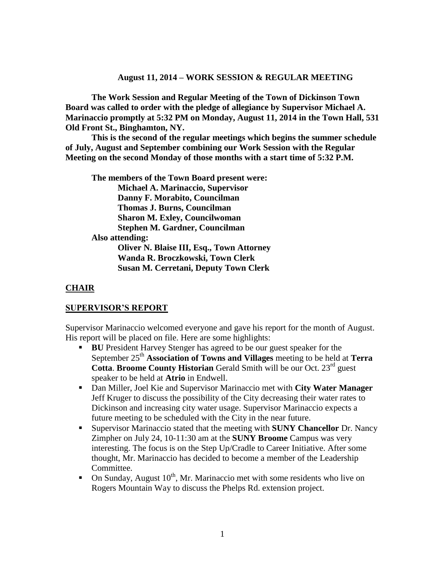#### **August 11, 2014 – WORK SESSION & REGULAR MEETING**

**The Work Session and Regular Meeting of the Town of Dickinson Town Board was called to order with the pledge of allegiance by Supervisor Michael A. Marinaccio promptly at 5:32 PM on Monday, August 11, 2014 in the Town Hall, 531 Old Front St., Binghamton, NY.** 

**This is the second of the regular meetings which begins the summer schedule of July, August and September combining our Work Session with the Regular Meeting on the second Monday of those months with a start time of 5:32 P.M.**

**The members of the Town Board present were: Michael A. Marinaccio, Supervisor Danny F. Morabito, Councilman Thomas J. Burns, Councilman Sharon M. Exley, Councilwoman Stephen M. Gardner, Councilman Also attending: Oliver N. Blaise III, Esq., Town Attorney Wanda R. Broczkowski, Town Clerk Susan M. Cerretani, Deputy Town Clerk**

#### **CHAIR**

#### **SUPERVISOR'S REPORT**

Supervisor Marinaccio welcomed everyone and gave his report for the month of August. His report will be placed on file. Here are some highlights:

- **BU** President Harvey Stenger has agreed to be our guest speaker for the September 25th **Association of Towns and Villages** meeting to be held at **Terra Cotta. Broome County Historian** Gerald Smith will be our Oct. 23<sup>rd</sup> guest speaker to be held at **Atrio** in Endwell.
- Dan Miller, Joel Kie and Supervisor Marinaccio met with **City Water Manager** Jeff Kruger to discuss the possibility of the City decreasing their water rates to Dickinson and increasing city water usage. Supervisor Marinaccio expects a future meeting to be scheduled with the City in the near future.
- Supervisor Marinaccio stated that the meeting with **SUNY Chancellor** Dr. Nancy Zimpher on July 24, 10-11:30 am at the **SUNY Broome** Campus was very interesting. The focus is on the Step Up/Cradle to Career Initiative. After some thought, Mr. Marinaccio has decided to become a member of the Leadership Committee.
- On Sunday, August  $10^{th}$ , Mr. Marinaccio met with some residents who live on Rogers Mountain Way to discuss the Phelps Rd. extension project.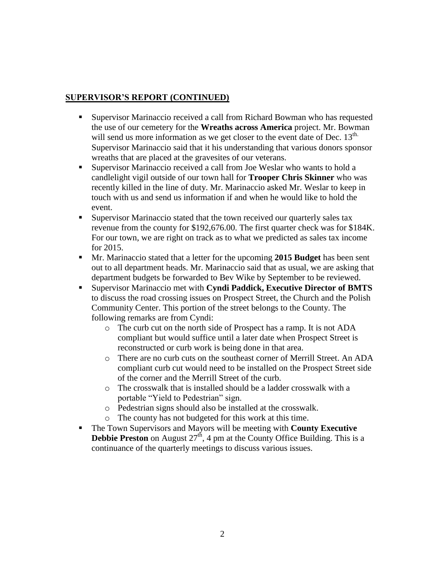## **SUPERVISOR'S REPORT (CONTINUED)**

- Supervisor Marinaccio received a call from Richard Bowman who has requested the use of our cemetery for the **Wreaths across America** project. Mr. Bowman will send us more information as we get closer to the event date of Dec.  $13<sup>th</sup>$ . Supervisor Marinaccio said that it his understanding that various donors sponsor wreaths that are placed at the gravesites of our veterans.
- Supervisor Marinaccio received a call from Joe Weslar who wants to hold a candlelight vigil outside of our town hall for **Trooper Chris Skinner** who was recently killed in the line of duty. Mr. Marinaccio asked Mr. Weslar to keep in touch with us and send us information if and when he would like to hold the event.
- Supervisor Marinaccio stated that the town received our quarterly sales tax revenue from the county for \$192,676.00. The first quarter check was for \$184K. For our town, we are right on track as to what we predicted as sales tax income for 2015.
- Mr. Marinaccio stated that a letter for the upcoming **2015 Budget** has been sent out to all department heads. Mr. Marinaccio said that as usual, we are asking that department budgets be forwarded to Bev Wike by September to be reviewed.
- Supervisor Marinaccio met with **Cyndi Paddick, Executive Director of BMTS** to discuss the road crossing issues on Prospect Street, the Church and the Polish Community Center. This portion of the street belongs to the County. The following remarks are from Cyndi:
	- o The curb cut on the north side of Prospect has a ramp. It is not ADA compliant but would suffice until a later date when Prospect Street is reconstructed or curb work is being done in that area.
	- o There are no curb cuts on the southeast corner of Merrill Street. An ADA compliant curb cut would need to be installed on the Prospect Street side of the corner and the Merrill Street of the curb.
	- o The crosswalk that is installed should be a ladder crosswalk with a portable "Yield to Pedestrian" sign.
	- o Pedestrian signs should also be installed at the crosswalk.
	- o The county has not budgeted for this work at this time.
- The Town Supervisors and Mayors will be meeting with **County Executive Debbie Preston** on August  $27<sup>th</sup>$ , 4 pm at the County Office Building. This is a continuance of the quarterly meetings to discuss various issues.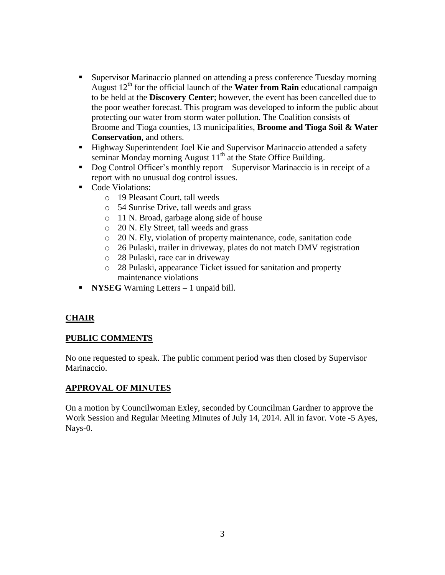- **Exerciser Marinaccio planned on attending a press conference Tuesday morning** August  $12<sup>th</sup>$  for the official launch of the **Water from Rain** educational campaign to be held at the **Discovery Center**; however, the event has been cancelled due to the poor weather forecast. This program was developed to inform the public about protecting our water from storm water pollution. The Coalition consists of Broome and Tioga counties, 13 municipalities, **Broome and Tioga Soil & Water Conservation**, and others.
- Highway Superintendent Joel Kie and Supervisor Marinaccio attended a safety seminar Monday morning August  $11<sup>th</sup>$  at the State Office Building.
- Dog Control Officer's monthly report Supervisor Marinaccio is in receipt of a report with no unusual dog control issues.
- Code Violations:
	- o 19 Pleasant Court, tall weeds
	- o 54 Sunrise Drive, tall weeds and grass
	- o 11 N. Broad, garbage along side of house
	- o 20 N. Ely Street, tall weeds and grass
	- o 20 N. Ely, violation of property maintenance, code, sanitation code
	- o 26 Pulaski, trailer in driveway, plates do not match DMV registration
	- o 28 Pulaski, race car in driveway
	- o 28 Pulaski, appearance Ticket issued for sanitation and property maintenance violations
- **NYSEG** Warning Letters 1 unpaid bill.

## **CHAIR**

## **PUBLIC COMMENTS**

No one requested to speak. The public comment period was then closed by Supervisor Marinaccio.

### **APPROVAL OF MINUTES**

On a motion by Councilwoman Exley, seconded by Councilman Gardner to approve the Work Session and Regular Meeting Minutes of July 14, 2014. All in favor. Vote -5 Ayes, Nays-0.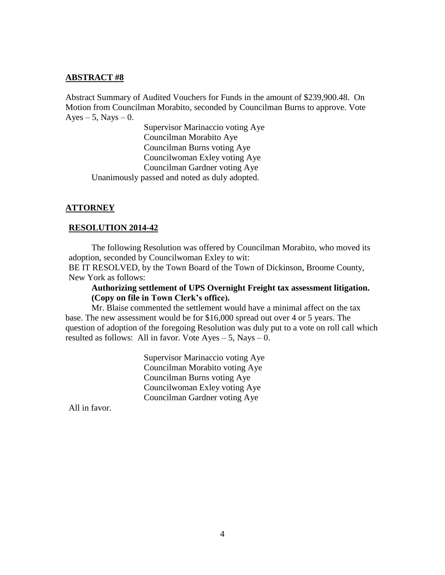#### **ABSTRACT #8**

Abstract Summary of Audited Vouchers for Funds in the amount of \$239,900.48. On Motion from Councilman Morabito, seconded by Councilman Burns to approve. Vote  $Ayes - 5$ , Nays  $-0$ .

Supervisor Marinaccio voting Aye Councilman Morabito Aye Councilman Burns voting Aye Councilwoman Exley voting Aye Councilman Gardner voting Aye Unanimously passed and noted as duly adopted.

#### **ATTORNEY**

#### **RESOLUTION 2014-42**

The following Resolution was offered by Councilman Morabito, who moved its adoption, seconded by Councilwoman Exley to wit:

BE IT RESOLVED, by the Town Board of the Town of Dickinson, Broome County, New York as follows:

**Authorizing settlement of UPS Overnight Freight tax assessment litigation. (Copy on file in Town Clerk's office).**

Mr. Blaise commented the settlement would have a minimal affect on the tax base. The new assessment would be for \$16,000 spread out over 4 or 5 years. The question of adoption of the foregoing Resolution was duly put to a vote on roll call which resulted as follows: All in favor. Vote Ayes – 5, Nays – 0.

> Supervisor Marinaccio voting Aye Councilman Morabito voting Aye Councilman Burns voting Aye Councilwoman Exley voting Aye Councilman Gardner voting Aye

All in favor.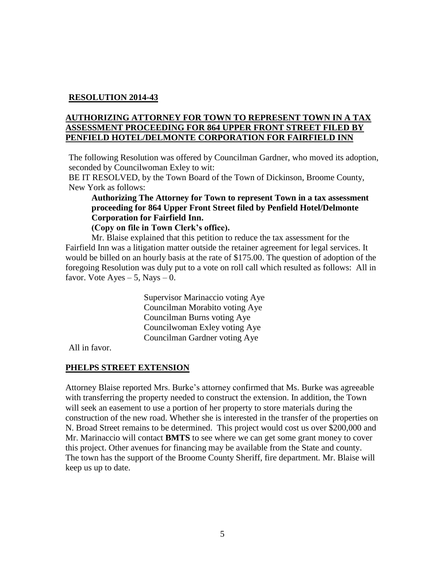### **RESOLUTION 2014-43**

### **AUTHORIZING ATTORNEY FOR TOWN TO REPRESENT TOWN IN A TAX ASSESSMENT PROCEEDING FOR 864 UPPER FRONT STREET FILED BY PENFIELD HOTEL/DELMONTE CORPORATION FOR FAIRFIELD INN**

The following Resolution was offered by Councilman Gardner, who moved its adoption, seconded by Councilwoman Exley to wit:

BE IT RESOLVED, by the Town Board of the Town of Dickinson, Broome County, New York as follows:

## **Authorizing The Attorney for Town to represent Town in a tax assessment proceeding for 864 Upper Front Street filed by Penfield Hotel/Delmonte Corporation for Fairfield Inn.**

**(Copy on file in Town Clerk's office).**

Mr. Blaise explained that this petition to reduce the tax assessment for the Fairfield Inn was a litigation matter outside the retainer agreement for legal services. It would be billed on an hourly basis at the rate of \$175.00. The question of adoption of the foregoing Resolution was duly put to a vote on roll call which resulted as follows: All in favor. Vote  $A$ yes – 5, Nays – 0.

> Supervisor Marinaccio voting Aye Councilman Morabito voting Aye Councilman Burns voting Aye Councilwoman Exley voting Aye Councilman Gardner voting Aye

All in favor.

#### **PHELPS STREET EXTENSION**

Attorney Blaise reported Mrs. Burke's attorney confirmed that Ms. Burke was agreeable with transferring the property needed to construct the extension. In addition, the Town will seek an easement to use a portion of her property to store materials during the construction of the new road. Whether she is interested in the transfer of the properties on N. Broad Street remains to be determined. This project would cost us over \$200,000 and Mr. Marinaccio will contact **BMTS** to see where we can get some grant money to cover this project. Other avenues for financing may be available from the State and county. The town has the support of the Broome County Sheriff, fire department. Mr. Blaise will keep us up to date.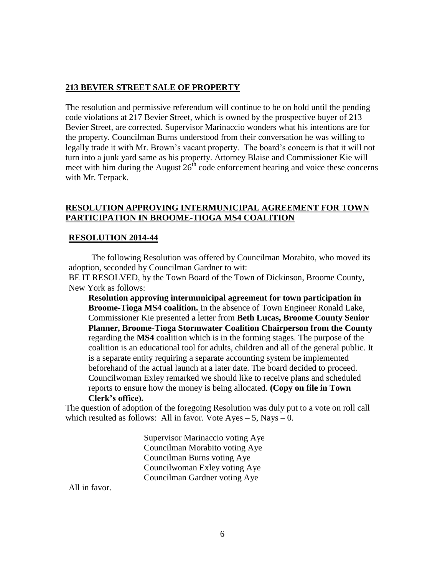#### **213 BEVIER STREET SALE OF PROPERTY**

The resolution and permissive referendum will continue to be on hold until the pending code violations at 217 Bevier Street, which is owned by the prospective buyer of 213 Bevier Street, are corrected. Supervisor Marinaccio wonders what his intentions are for the property. Councilman Burns understood from their conversation he was willing to legally trade it with Mr. Brown's vacant property. The board's concern is that it will not turn into a junk yard same as his property. Attorney Blaise and Commissioner Kie will meet with him during the August  $26<sup>th</sup>$  code enforcement hearing and voice these concerns with Mr. Terpack.

#### **RESOLUTION APPROVING INTERMUNICIPAL AGREEMENT FOR TOWN PARTICIPATION IN BROOME-TIOGA MS4 COALITION**

#### **RESOLUTION 2014-44**

The following Resolution was offered by Councilman Morabito, who moved its adoption, seconded by Councilman Gardner to wit:

BE IT RESOLVED, by the Town Board of the Town of Dickinson, Broome County, New York as follows:

**Resolution approving intermunicipal agreement for town participation in Broome-Tioga MS4 coalition.** In the absence of Town Engineer Ronald Lake, Commissioner Kie presented a letter from **Beth Lucas, Broome County Senior Planner, Broome-Tioga Stormwater Coalition Chairperson from the County** regarding the **MS4** coalition which is in the forming stages. The purpose of the coalition is an educational tool for adults, children and all of the general public. It is a separate entity requiring a separate accounting system be implemented beforehand of the actual launch at a later date. The board decided to proceed. Councilwoman Exley remarked we should like to receive plans and scheduled reports to ensure how the money is being allocated. **(Copy on file in Town Clerk's office).**

The question of adoption of the foregoing Resolution was duly put to a vote on roll call which resulted as follows: All in favor. Vote  $Ayes - 5$ , Nays  $-0$ .

> Supervisor Marinaccio voting Aye Councilman Morabito voting Aye Councilman Burns voting Aye Councilwoman Exley voting Aye Councilman Gardner voting Aye

All in favor.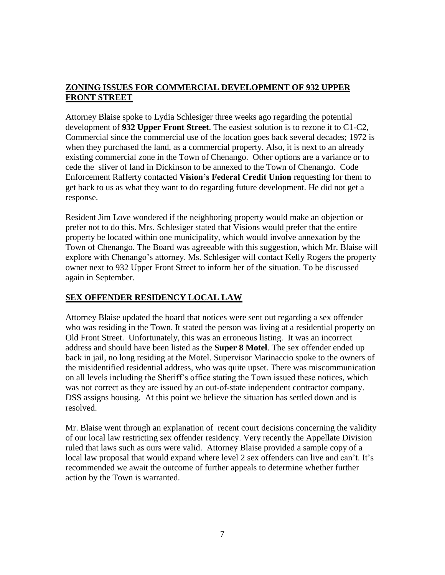# **ZONING ISSUES FOR COMMERCIAL DEVELOPMENT OF 932 UPPER FRONT STREET**

Attorney Blaise spoke to Lydia Schlesiger three weeks ago regarding the potential development of **932 Upper Front Street**. The easiest solution is to rezone it to C1-C2, Commercial since the commercial use of the location goes back several decades; 1972 is when they purchased the land, as a commercial property. Also, it is next to an already existing commercial zone in the Town of Chenango. Other options are a variance or to cede the sliver of land in Dickinson to be annexed to the Town of Chenango. Code Enforcement Rafferty contacted **Vision's Federal Credit Union** requesting for them to get back to us as what they want to do regarding future development. He did not get a response.

Resident Jim Love wondered if the neighboring property would make an objection or prefer not to do this. Mrs. Schlesiger stated that Visions would prefer that the entire property be located within one municipality, which would involve annexation by the Town of Chenango. The Board was agreeable with this suggestion, which Mr. Blaise will explore with Chenango's attorney. Ms. Schlesiger will contact Kelly Rogers the property owner next to 932 Upper Front Street to inform her of the situation. To be discussed again in September.

## **SEX OFFENDER RESIDENCY LOCAL LAW**

Attorney Blaise updated the board that notices were sent out regarding a sex offender who was residing in the Town. It stated the person was living at a residential property on Old Front Street. Unfortunately, this was an erroneous listing. It was an incorrect address and should have been listed as the **Super 8 Motel**. The sex offender ended up back in jail, no long residing at the Motel. Supervisor Marinaccio spoke to the owners of the misidentified residential address, who was quite upset. There was miscommunication on all levels including the Sheriff's office stating the Town issued these notices, which was not correct as they are issued by an out-of-state independent contractor company. DSS assigns housing. At this point we believe the situation has settled down and is resolved.

Mr. Blaise went through an explanation of recent court decisions concerning the validity of our local law restricting sex offender residency. Very recently the Appellate Division ruled that laws such as ours were valid. Attorney Blaise provided a sample copy of a local law proposal that would expand where level 2 sex offenders can live and can't. It's recommended we await the outcome of further appeals to determine whether further action by the Town is warranted.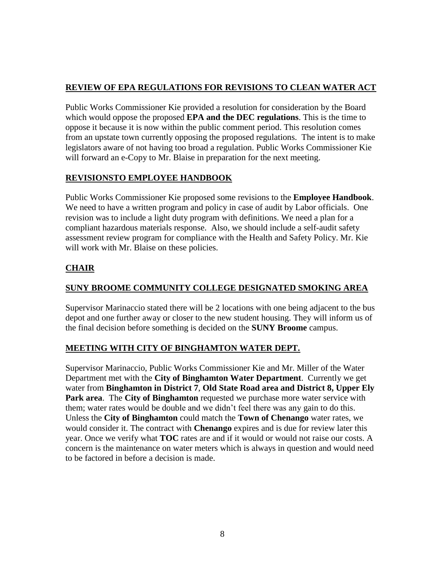# **REVIEW OF EPA REGULATIONS FOR REVISIONS TO CLEAN WATER ACT**

Public Works Commissioner Kie provided a resolution for consideration by the Board which would oppose the proposed **EPA and the DEC regulations**. This is the time to oppose it because it is now within the public comment period. This resolution comes from an upstate town currently opposing the proposed regulations. The intent is to make legislators aware of not having too broad a regulation. Public Works Commissioner Kie will forward an e-Copy to Mr. Blaise in preparation for the next meeting.

## **REVISIONSTO EMPLOYEE HANDBOOK**

Public Works Commissioner Kie proposed some revisions to the **Employee Handbook**. We need to have a written program and policy in case of audit by Labor officials. One revision was to include a light duty program with definitions. We need a plan for a compliant hazardous materials response. Also, we should include a self-audit safety assessment review program for compliance with the Health and Safety Policy. Mr. Kie will work with Mr. Blaise on these policies.

# **CHAIR**

# **SUNY BROOME COMMUNITY COLLEGE DESIGNATED SMOKING AREA**

Supervisor Marinaccio stated there will be 2 locations with one being adjacent to the bus depot and one further away or closer to the new student housing. They will inform us of the final decision before something is decided on the **SUNY Broome** campus.

## **MEETING WITH CITY OF BINGHAMTON WATER DEPT.**

Supervisor Marinaccio, Public Works Commissioner Kie and Mr. Miller of the Water Department met with the **City of Binghamton Water Department**. Currently we get water from **Binghamton in District 7**, **Old State Road area and District 8, Upper Ely Park area**. The **City of Binghamton** requested we purchase more water service with them; water rates would be double and we didn't feel there was any gain to do this. Unless the **City of Binghamton** could match the **Town of Chenango** water rates, we would consider it. The contract with **Chenango** expires and is due for review later this year. Once we verify what **TOC** rates are and if it would or would not raise our costs. A concern is the maintenance on water meters which is always in question and would need to be factored in before a decision is made.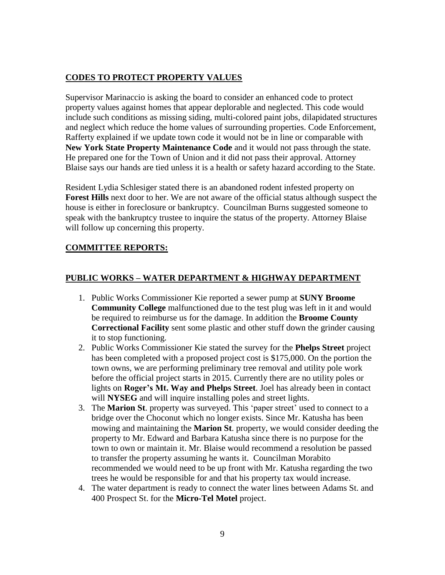## **CODES TO PROTECT PROPERTY VALUES**

Supervisor Marinaccio is asking the board to consider an enhanced code to protect property values against homes that appear deplorable and neglected. This code would include such conditions as missing siding, multi-colored paint jobs, dilapidated structures and neglect which reduce the home values of surrounding properties. Code Enforcement, Rafferty explained if we update town code it would not be in line or comparable with **New York State Property Maintenance Code** and it would not pass through the state. He prepared one for the Town of Union and it did not pass their approval. Attorney Blaise says our hands are tied unless it is a health or safety hazard according to the State.

Resident Lydia Schlesiger stated there is an abandoned rodent infested property on **Forest Hills** next door to her. We are not aware of the official status although suspect the house is either in foreclosure or bankruptcy. Councilman Burns suggested someone to speak with the bankruptcy trustee to inquire the status of the property. Attorney Blaise will follow up concerning this property.

### **COMMITTEE REPORTS:**

### **PUBLIC WORKS – WATER DEPARTMENT & HIGHWAY DEPARTMENT**

- 1. Public Works Commissioner Kie reported a sewer pump at **SUNY Broome Community College** malfunctioned due to the test plug was left in it and would be required to reimburse us for the damage. In addition the **Broome County Correctional Facility** sent some plastic and other stuff down the grinder causing it to stop functioning.
- 2. Public Works Commissioner Kie stated the survey for the **Phelps Street** project has been completed with a proposed project cost is \$175,000. On the portion the town owns, we are performing preliminary tree removal and utility pole work before the official project starts in 2015. Currently there are no utility poles or lights on **Roger's Mt. Way and Phelps Street**. Joel has already been in contact will **NYSEG** and will inquire installing poles and street lights.
- 3. The **Marion St**. property was surveyed. This 'paper street' used to connect to a bridge over the Choconut which no longer exists. Since Mr. Katusha has been mowing and maintaining the **Marion St**. property, we would consider deeding the property to Mr. Edward and Barbara Katusha since there is no purpose for the town to own or maintain it. Mr. Blaise would recommend a resolution be passed to transfer the property assuming he wants it. Councilman Morabito recommended we would need to be up front with Mr. Katusha regarding the two trees he would be responsible for and that his property tax would increase.
- 4. The water department is ready to connect the water lines between Adams St. and 400 Prospect St. for the **Micro-Tel Motel** project.